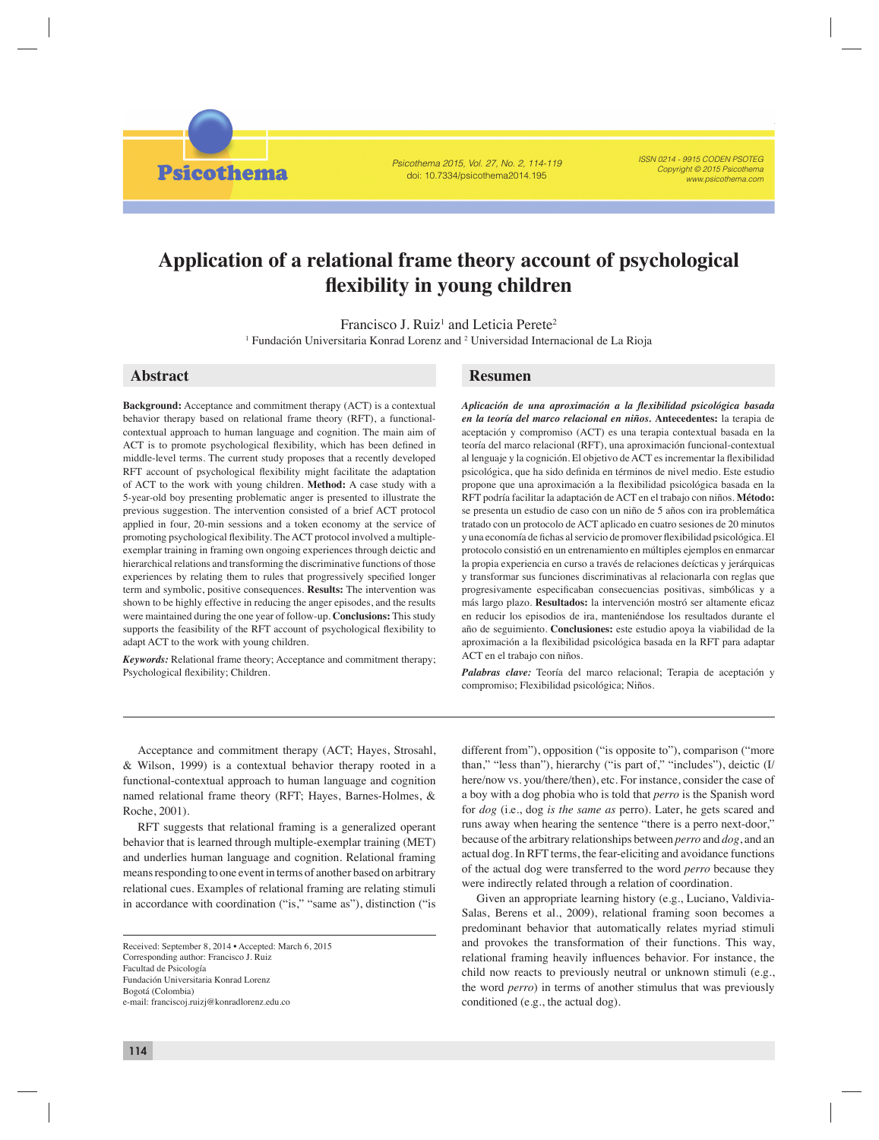*Psicothema 2015, Vol. 27, No. 2, 114-119* doi: 10.7334/psicothema2014.195

*ISSN 0214 - 9915 CODEN PSOTEG Copyright © 2015 Psicothema www.psicothema.com*

# **Application of a relational frame theory account of psychological fl exibility in young children**

Francisco J. Ruiz<sup>1</sup> and Leticia Perete<sup>2</sup>

<sup>1</sup> Fundación Universitaria Konrad Lorenz and <sup>2</sup> Universidad Internacional de La Rioja

**Psicothema** 

**Background:** Acceptance and commitment therapy (ACT) is a contextual behavior therapy based on relational frame theory (RFT), a functionalcontextual approach to human language and cognition. The main aim of ACT is to promote psychological flexibility, which has been defined in middle-level terms. The current study proposes that a recently developed RFT account of psychological flexibility might facilitate the adaptation of ACT to the work with young children. **Method:** A case study with a 5-year-old boy presenting problematic anger is presented to illustrate the previous suggestion. The intervention consisted of a brief ACT protocol applied in four, 20-min sessions and a token economy at the service of promoting psychological flexibility. The ACT protocol involved a multipleexemplar training in framing own ongoing experiences through deictic and hierarchical relations and transforming the discriminative functions of those experiences by relating them to rules that progressively specified longer term and symbolic, positive consequences. **Results:** The intervention was shown to be highly effective in reducing the anger episodes, and the results were maintained during the one year of follow-up. **Conclusions:** This study supports the feasibility of the RFT account of psychological flexibility to adapt ACT to the work with young children.

*Keywords:* Relational frame theory; Acceptance and commitment therapy; Psychological flexibility; Children.

# **Abstract Resumen**

Aplicación de una aproximación a la flexibilidad psicológica basada *en la teoría del marco relacional en niños.* **Antecedentes:** la terapia de aceptación y compromiso (ACT) es una terapia contextual basada en la teoría del marco relacional (RFT), una aproximación funcional-contextual al lenguaje y la cognición. El objetivo de ACT es incrementar la flexibilidad psicológica, que ha sido definida en términos de nivel medio. Este estudio propone que una aproximación a la flexibilidad psicológica basada en la RFT podría facilitar la adaptación de ACT en el trabajo con niños. **Método:** se presenta un estudio de caso con un niño de 5 años con ira problemática tratado con un protocolo de ACT aplicado en cuatro sesiones de 20 minutos y una economía de fichas al servicio de promover flexibilidad psicológica. El protocolo consistió en un entrenamiento en múltiples ejemplos en enmarcar la propia experiencia en curso a través de relaciones deícticas y jerárquicas y transformar sus funciones discriminativas al relacionarla con reglas que progresivamente especificaban consecuencias positivas, simbólicas y a más largo plazo. Resultados: la intervención mostró ser altamente eficaz en reducir los episodios de ira, manteniéndose los resultados durante el año de seguimiento. **Conclusiones:** este estudio apoya la viabilidad de la aproximación a la flexibilidad psicológica basada en la RFT para adaptar ACT en el trabajo con niños.

*Palabras clave:* Teoría del marco relacional; Terapia de aceptación y compromiso; Flexibilidad psicológica; Niños.

Acceptance and commitment therapy (ACT; Hayes, Strosahl, & Wilson, 1999) is a contextual behavior therapy rooted in a functional-contextual approach to human language and cognition named relational frame theory (RFT; Hayes, Barnes-Holmes, & Roche, 2001).

RFT suggests that relational framing is a generalized operant behavior that is learned through multiple-exemplar training (MET) and underlies human language and cognition. Relational framing means responding to one event in terms of another based on arbitrary relational cues. Examples of relational framing are relating stimuli in accordance with coordination ("is," "same as"), distinction ("is

different from"), opposition ("is opposite to"), comparison ("more than," "less than"), hierarchy ("is part of," "includes"), deictic (I/ here/now vs. you/there/then), etc. For instance, consider the case of a boy with a dog phobia who is told that *perro* is the Spanish word for *dog* (i.e., dog *is the same as* perro). Later, he gets scared and runs away when hearing the sentence "there is a perro next-door," because of the arbitrary relationships between *perro* and *dog*, and an actual dog. In RFT terms, the fear-eliciting and avoidance functions of the actual dog were transferred to the word *perro* because they were indirectly related through a relation of coordination.

Given an appropriate learning history (e.g., Luciano, Valdivia-Salas, Berens et al., 2009), relational framing soon becomes a predominant behavior that automatically relates myriad stimuli and provokes the transformation of their functions. This way, relational framing heavily influences behavior. For instance, the child now reacts to previously neutral or unknown stimuli (e.g., the word *perro*) in terms of another stimulus that was previously conditioned (e.g., the actual dog).

Received: September 8, 2014 • Accepted: March 6, 2015 Corresponding author: Francisco J. Ruiz Facultad de Psicología Fundación Universitaria Konrad Lorenz Bogotá (Colombia) e-mail: franciscoj.ruizj@konradlorenz.edu.co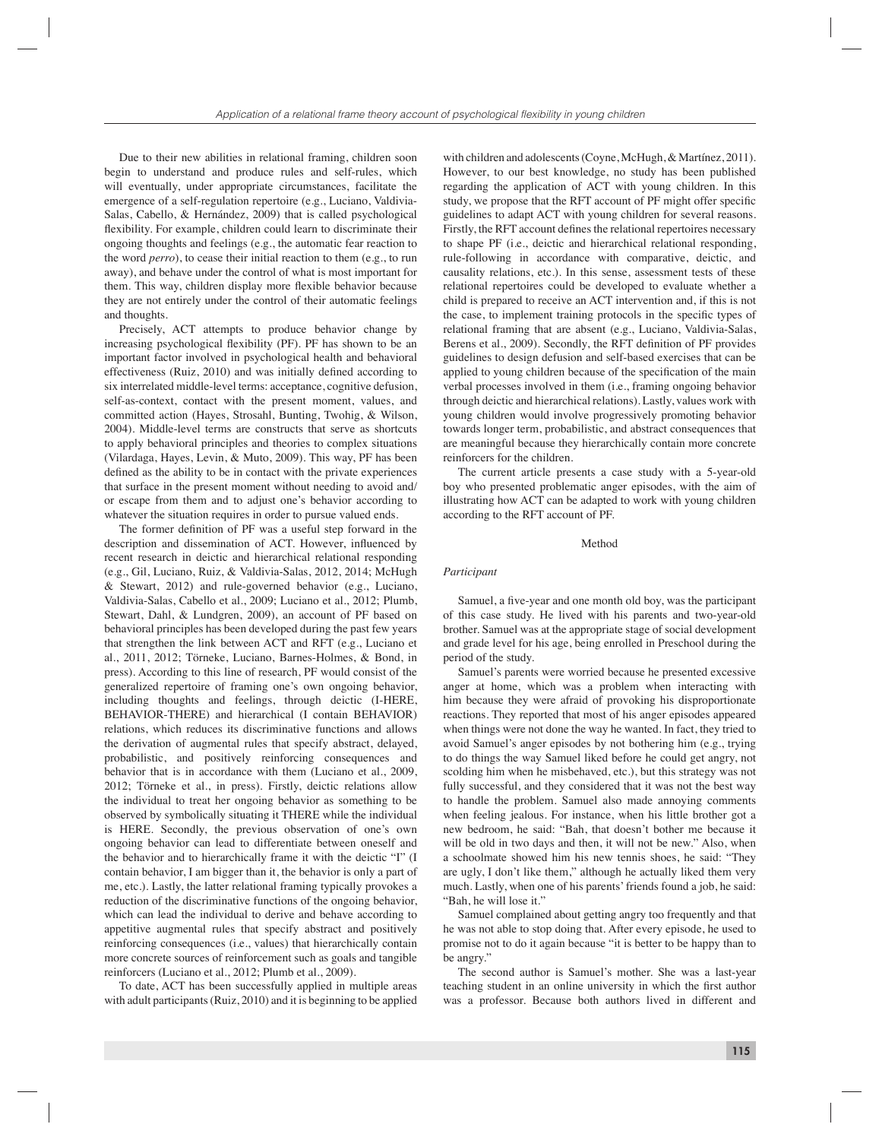Due to their new abilities in relational framing, children soon begin to understand and produce rules and self-rules, which will eventually, under appropriate circumstances, facilitate the emergence of a self-regulation repertoire (e.g., Luciano, Valdivia-Salas, Cabello, & Hernández, 2009) that is called psychological flexibility. For example, children could learn to discriminate their ongoing thoughts and feelings (e.g., the automatic fear reaction to the word *perro*), to cease their initial reaction to them (e.g., to run away), and behave under the control of what is most important for them. This way, children display more flexible behavior because they are not entirely under the control of their automatic feelings and thoughts.

Precisely, ACT attempts to produce behavior change by increasing psychological flexibility (PF). PF has shown to be an important factor involved in psychological health and behavioral effectiveness (Ruiz, 2010) and was initially defined according to six interrelated middle-level terms: acceptance, cognitive defusion, self-as-context, contact with the present moment, values, and committed action (Hayes, Strosahl, Bunting, Twohig, & Wilson, 2004). Middle-level terms are constructs that serve as shortcuts to apply behavioral principles and theories to complex situations (Vilardaga, Hayes, Levin, & Muto, 2009). This way, PF has been defined as the ability to be in contact with the private experiences that surface in the present moment without needing to avoid and/ or escape from them and to adjust one's behavior according to whatever the situation requires in order to pursue valued ends.

The former definition of PF was a useful step forward in the description and dissemination of ACT. However, influenced by recent research in deictic and hierarchical relational responding (e.g., Gil, Luciano, Ruiz, & Valdivia-Salas, 2012, 2014; McHugh & Stewart, 2012) and rule-governed behavior (e.g., Luciano, Valdivia-Salas, Cabello et al., 2009; Luciano et al., 2012; Plumb, Stewart, Dahl, & Lundgren, 2009), an account of PF based on behavioral principles has been developed during the past few years that strengthen the link between ACT and RFT (e.g., Luciano et al., 2011, 2012; Törneke, Luciano, Barnes-Holmes, & Bond, in press). According to this line of research, PF would consist of the generalized repertoire of framing one's own ongoing behavior, including thoughts and feelings, through deictic (I-HERE, BEHAVIOR-THERE) and hierarchical (I contain BEHAVIOR) relations, which reduces its discriminative functions and allows the derivation of augmental rules that specify abstract, delayed, probabilistic, and positively reinforcing consequences and behavior that is in accordance with them (Luciano et al., 2009, 2012; Törneke et al., in press). Firstly, deictic relations allow the individual to treat her ongoing behavior as something to be observed by symbolically situating it THERE while the individual is HERE. Secondly, the previous observation of one's own ongoing behavior can lead to differentiate between oneself and the behavior and to hierarchically frame it with the deictic "I" (I contain behavior, I am bigger than it, the behavior is only a part of me, etc.). Lastly, the latter relational framing typically provokes a reduction of the discriminative functions of the ongoing behavior, which can lead the individual to derive and behave according to appetitive augmental rules that specify abstract and positively reinforcing consequences (i.e., values) that hierarchically contain more concrete sources of reinforcement such as goals and tangible reinforcers (Luciano et al., 2012; Plumb et al., 2009).

To date, ACT has been successfully applied in multiple areas with adult participants (Ruiz, 2010) and it is beginning to be applied

with children and adolescents (Coyne, McHugh, & Martínez, 2011). However, to our best knowledge, no study has been published regarding the application of ACT with young children. In this study, we propose that the RFT account of PF might offer specific guidelines to adapt ACT with young children for several reasons. Firstly, the RFT account defines the relational repertoires necessary to shape PF (i.e., deictic and hierarchical relational responding, rule-following in accordance with comparative, deictic, and causality relations, etc.). In this sense, assessment tests of these relational repertoires could be developed to evaluate whether a child is prepared to receive an ACT intervention and, if this is not the case, to implement training protocols in the specific types of relational framing that are absent (e.g., Luciano, Valdivia-Salas, Berens et al., 2009). Secondly, the RFT definition of PF provides guidelines to design defusion and self-based exercises that can be applied to young children because of the specification of the main verbal processes involved in them (i.e., framing ongoing behavior through deictic and hierarchical relations). Lastly, values work with young children would involve progressively promoting behavior towards longer term, probabilistic, and abstract consequences that are meaningful because they hierarchically contain more concrete reinforcers for the children.

The current article presents a case study with a 5-year-old boy who presented problematic anger episodes, with the aim of illustrating how ACT can be adapted to work with young children according to the RFT account of PF.

### Method

# *Participant*

Samuel, a five-year and one month old boy, was the participant of this case study. He lived with his parents and two-year-old brother. Samuel was at the appropriate stage of social development and grade level for his age, being enrolled in Preschool during the period of the study.

Samuel's parents were worried because he presented excessive anger at home, which was a problem when interacting with him because they were afraid of provoking his disproportionate reactions. They reported that most of his anger episodes appeared when things were not done the way he wanted. In fact, they tried to avoid Samuel's anger episodes by not bothering him (e.g., trying to do things the way Samuel liked before he could get angry, not scolding him when he misbehaved, etc.), but this strategy was not fully successful, and they considered that it was not the best way to handle the problem. Samuel also made annoying comments when feeling jealous. For instance, when his little brother got a new bedroom, he said: "Bah, that doesn't bother me because it will be old in two days and then, it will not be new." Also, when a schoolmate showed him his new tennis shoes, he said: "They are ugly, I don't like them," although he actually liked them very much. Lastly, when one of his parents' friends found a job, he said: "Bah, he will lose it."

Samuel complained about getting angry too frequently and that he was not able to stop doing that. After every episode, he used to promise not to do it again because "it is better to be happy than to be angry."

The second author is Samuel's mother. She was a last-year teaching student in an online university in which the first author was a professor. Because both authors lived in different and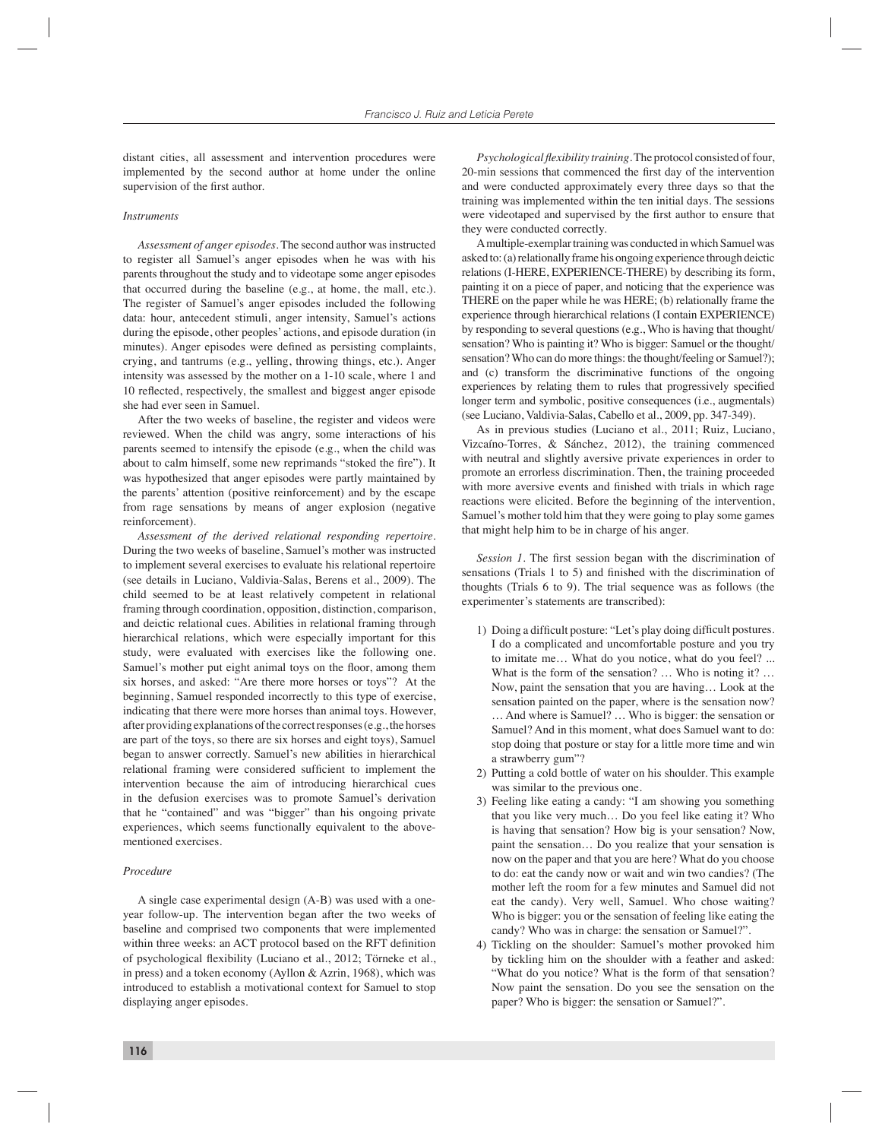distant cities, all assessment and intervention procedures were implemented by the second author at home under the online supervision of the first author.

# *Instruments*

*Assessment of anger episodes.* The second author was instructed to register all Samuel's anger episodes when he was with his parents throughout the study and to videotape some anger episodes that occurred during the baseline (e.g., at home, the mall, etc.). The register of Samuel's anger episodes included the following data: hour, antecedent stimuli, anger intensity, Samuel's actions during the episode, other peoples' actions, and episode duration (in minutes). Anger episodes were defined as persisting complaints, crying, and tantrums (e.g., yelling, throwing things, etc.). Anger intensity was assessed by the mother on a 1-10 scale, where 1 and 10 reflected, respectively, the smallest and biggest anger episode she had ever seen in Samuel.

After the two weeks of baseline, the register and videos were reviewed. When the child was angry, some interactions of his parents seemed to intensify the episode (e.g., when the child was about to calm himself, some new reprimands "stoked the fire"). It was hypothesized that anger episodes were partly maintained by the parents' attention (positive reinforcement) and by the escape from rage sensations by means of anger explosion (negative reinforcement).

*Assessment of the derived relational responding repertoire.*  During the two weeks of baseline, Samuel's mother was instructed to implement several exercises to evaluate his relational repertoire (see details in Luciano, Valdivia-Salas, Berens et al., 2009). The child seemed to be at least relatively competent in relational framing through coordination, opposition, distinction, comparison, and deictic relational cues. Abilities in relational framing through hierarchical relations, which were especially important for this study, were evaluated with exercises like the following one. Samuel's mother put eight animal toys on the floor, among them six horses, and asked: "Are there more horses or toys"? At the beginning, Samuel responded incorrectly to this type of exercise, indicating that there were more horses than animal toys. However, after providing explanations of the correct responses (e.g., the horses are part of the toys, so there are six horses and eight toys), Samuel began to answer correctly. Samuel's new abilities in hierarchical relational framing were considered sufficient to implement the intervention because the aim of introducing hierarchical cues in the defusion exercises was to promote Samuel's derivation that he "contained" and was "bigger" than his ongoing private experiences, which seems functionally equivalent to the abovementioned exercises.

# *Procedure*

A single case experimental design (A-B) was used with a oneyear follow-up. The intervention began after the two weeks of baseline and comprised two components that were implemented within three weeks: an ACT protocol based on the RFT definition of psychological flexibility (Luciano et al., 2012; Törneke et al., in press) and a token economy (Ayllon & Azrin, 1968), which was introduced to establish a motivational context for Samuel to stop displaying anger episodes.

*Psychological flexibility training.* The protocol consisted of four, 20-min sessions that commenced the first day of the intervention and were conducted approximately every three days so that the training was implemented within the ten initial days. The sessions were videotaped and supervised by the first author to ensure that they were conducted correctly.

A multiple-exemplar training was conducted in which Samuel was asked to: (a) relationally frame his ongoing experience through deictic relations (I-HERE, EXPERIENCE-THERE) by describing its form, painting it on a piece of paper, and noticing that the experience was THERE on the paper while he was HERE; (b) relationally frame the experience through hierarchical relations (I contain EXPERIENCE) by responding to several questions (e.g., Who is having that thought/ sensation? Who is painting it? Who is bigger: Samuel or the thought/ sensation? Who can do more things: the thought/feeling or Samuel?); and (c) transform the discriminative functions of the ongoing experiences by relating them to rules that progressively specified longer term and symbolic, positive consequences (i.e., augmentals) (see Luciano, Valdivia-Salas, Cabello et al., 2009, pp. 347-349).

As in previous studies (Luciano et al., 2011; Ruiz, Luciano, Vizcaíno-Torres, & Sánchez, 2012), the training commenced with neutral and slightly aversive private experiences in order to promote an errorless discrimination. Then, the training proceeded with more aversive events and finished with trials in which rage reactions were elicited. Before the beginning of the intervention, Samuel's mother told him that they were going to play some games that might help him to be in charge of his anger.

*Session 1*. The first session began with the discrimination of sensations (Trials  $1$  to  $5$ ) and finished with the discrimination of thoughts (Trials 6 to 9). The trial sequence was as follows (the experimenter's statements are transcribed):

- 1) Doing a difficult posture: "Let's play doing difficult postures. I do a complicated and uncomfortable posture and you try to imitate me… What do you notice, what do you feel? ... What is the form of the sensation? ... Who is noting it? ... Now, paint the sensation that you are having… Look at the sensation painted on the paper, where is the sensation now? … And where is Samuel? … Who is bigger: the sensation or Samuel? And in this moment, what does Samuel want to do: stop doing that posture or stay for a little more time and win a strawberry gum"?
- 2) Putting a cold bottle of water on his shoulder. This example was similar to the previous one.
- 3) Feeling like eating a candy: "I am showing you something that you like very much… Do you feel like eating it? Who is having that sensation? How big is your sensation? Now, paint the sensation… Do you realize that your sensation is now on the paper and that you are here? What do you choose to do: eat the candy now or wait and win two candies? (The mother left the room for a few minutes and Samuel did not eat the candy). Very well, Samuel. Who chose waiting? Who is bigger: you or the sensation of feeling like eating the candy? Who was in charge: the sensation or Samuel?".
- 4) Tickling on the shoulder: Samuel's mother provoked him by tickling him on the shoulder with a feather and asked: "What do you notice? What is the form of that sensation? Now paint the sensation. Do you see the sensation on the paper? Who is bigger: the sensation or Samuel?".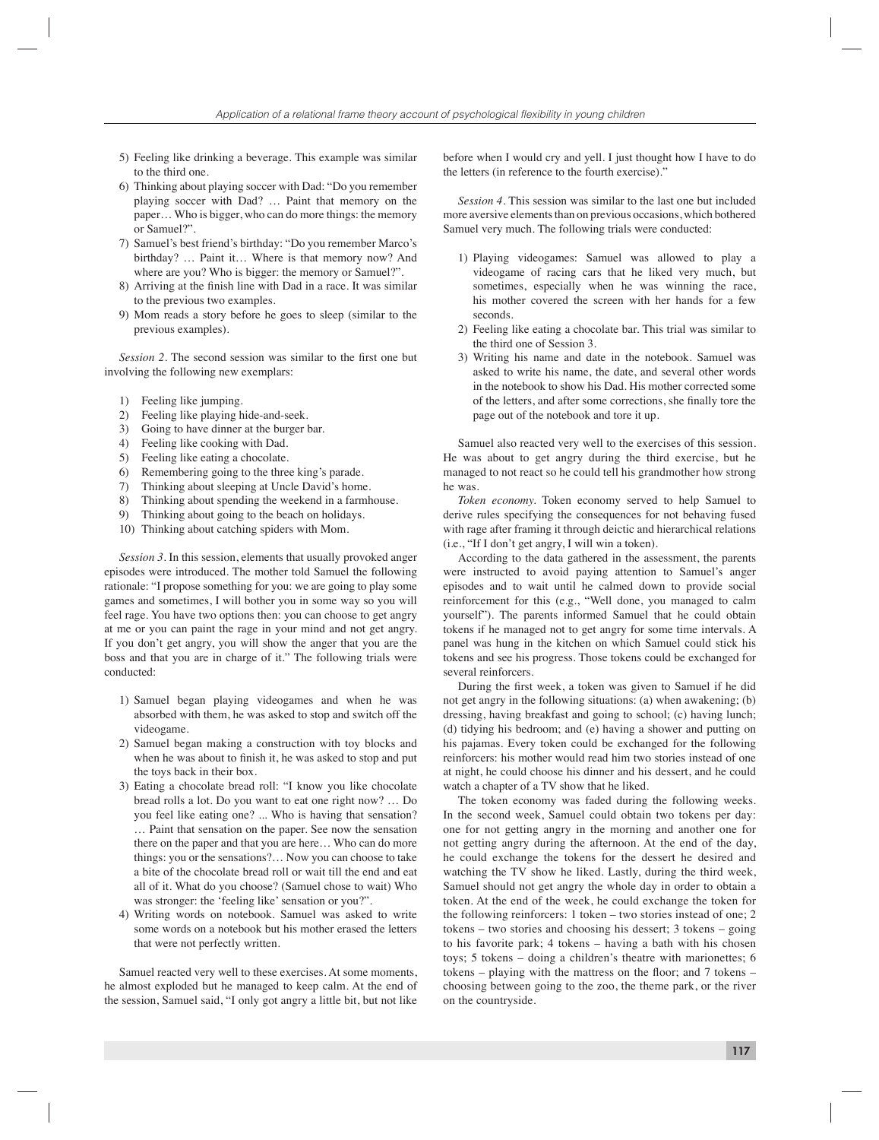- 5) Feeling like drinking a beverage. This example was similar to the third one.
- 6) Thinking about playing soccer with Dad: "Do you remember playing soccer with Dad? … Paint that memory on the paper… Who is bigger, who can do more things: the memory or Samuel?".
- 7) Samuel's best friend's birthday: "Do you remember Marco's birthday? … Paint it… Where is that memory now? And where are you? Who is bigger: the memory or Samuel?".
- 8) Arriving at the finish line with Dad in a race. It was similar to the previous two examples.
- 9) Mom reads a story before he goes to sleep (similar to the previous examples).

*Session 2.* The second session was similar to the first one but involving the following new exemplars:

- 1) Feeling like jumping.
- 2) Feeling like playing hide-and-seek.
- 3) Going to have dinner at the burger bar.
- 4) Feeling like cooking with Dad.
- 5) Feeling like eating a chocolate.
- 6) Remembering going to the three king's parade.
- 7) Thinking about sleeping at Uncle David's home.
- 8) Thinking about spending the weekend in a farmhouse.
- 9) Thinking about going to the beach on holidays.
- 10) Thinking about catching spiders with Mom.

*Session 3.* In this session, elements that usually provoked anger episodes were introduced. The mother told Samuel the following rationale: "I propose something for you: we are going to play some games and sometimes, I will bother you in some way so you will feel rage. You have two options then: you can choose to get angry at me or you can paint the rage in your mind and not get angry. If you don't get angry, you will show the anger that you are the boss and that you are in charge of it." The following trials were conducted:

- 1) Samuel began playing videogames and when he was absorbed with them, he was asked to stop and switch off the videogame.
- 2) Samuel began making a construction with toy blocks and when he was about to finish it, he was asked to stop and put the toys back in their box.
- 3) Eating a chocolate bread roll: "I know you like chocolate bread rolls a lot. Do you want to eat one right now? … Do you feel like eating one? ... Who is having that sensation? … Paint that sensation on the paper. See now the sensation there on the paper and that you are here… Who can do more things: you or the sensations?… Now you can choose to take a bite of the chocolate bread roll or wait till the end and eat all of it. What do you choose? (Samuel chose to wait) Who was stronger: the 'feeling like' sensation or you?".
- 4) Writing words on notebook. Samuel was asked to write some words on a notebook but his mother erased the letters that were not perfectly written.

Samuel reacted very well to these exercises. At some moments, he almost exploded but he managed to keep calm. At the end of the session, Samuel said, "I only got angry a little bit, but not like

before when I would cry and yell. I just thought how I have to do the letters (in reference to the fourth exercise)."

*Session 4.* This session was similar to the last one but included more aversive elements than on previous occasions, which bothered Samuel very much. The following trials were conducted:

- 1) Playing videogames: Samuel was allowed to play a videogame of racing cars that he liked very much, but sometimes, especially when he was winning the race, his mother covered the screen with her hands for a few seconds.
- 2) Feeling like eating a chocolate bar. This trial was similar to the third one of Session 3.
- 3) Writing his name and date in the notebook. Samuel was asked to write his name, the date, and several other words in the notebook to show his Dad. His mother corrected some of the letters, and after some corrections, she finally tore the page out of the notebook and tore it up.

Samuel also reacted very well to the exercises of this session. He was about to get angry during the third exercise, but he managed to not react so he could tell his grandmother how strong he was.

*Token economy.* Token economy served to help Samuel to derive rules specifying the consequences for not behaving fused with rage after framing it through deictic and hierarchical relations (i.e., "If I don't get angry, I will win a token).

According to the data gathered in the assessment, the parents were instructed to avoid paying attention to Samuel's anger episodes and to wait until he calmed down to provide social reinforcement for this (e.g., "Well done, you managed to calm yourself"). The parents informed Samuel that he could obtain tokens if he managed not to get angry for some time intervals. A panel was hung in the kitchen on which Samuel could stick his tokens and see his progress. Those tokens could be exchanged for several reinforcers.

During the first week, a token was given to Samuel if he did not get angry in the following situations: (a) when awakening; (b) dressing, having breakfast and going to school; (c) having lunch; (d) tidying his bedroom; and (e) having a shower and putting on his pajamas. Every token could be exchanged for the following reinforcers: his mother would read him two stories instead of one at night, he could choose his dinner and his dessert, and he could watch a chapter of a TV show that he liked.

The token economy was faded during the following weeks. In the second week, Samuel could obtain two tokens per day: one for not getting angry in the morning and another one for not getting angry during the afternoon. At the end of the day, he could exchange the tokens for the dessert he desired and watching the TV show he liked. Lastly, during the third week, Samuel should not get angry the whole day in order to obtain a token. At the end of the week, he could exchange the token for the following reinforcers: 1 token – two stories instead of one; 2 tokens – two stories and choosing his dessert; 3 tokens – going to his favorite park; 4 tokens – having a bath with his chosen toys; 5 tokens – doing a children's theatre with marionettes; 6 tokens  $-$  playing with the mattress on the floor; and  $7$  tokens  $$ choosing between going to the zoo, the theme park, or the river on the countryside.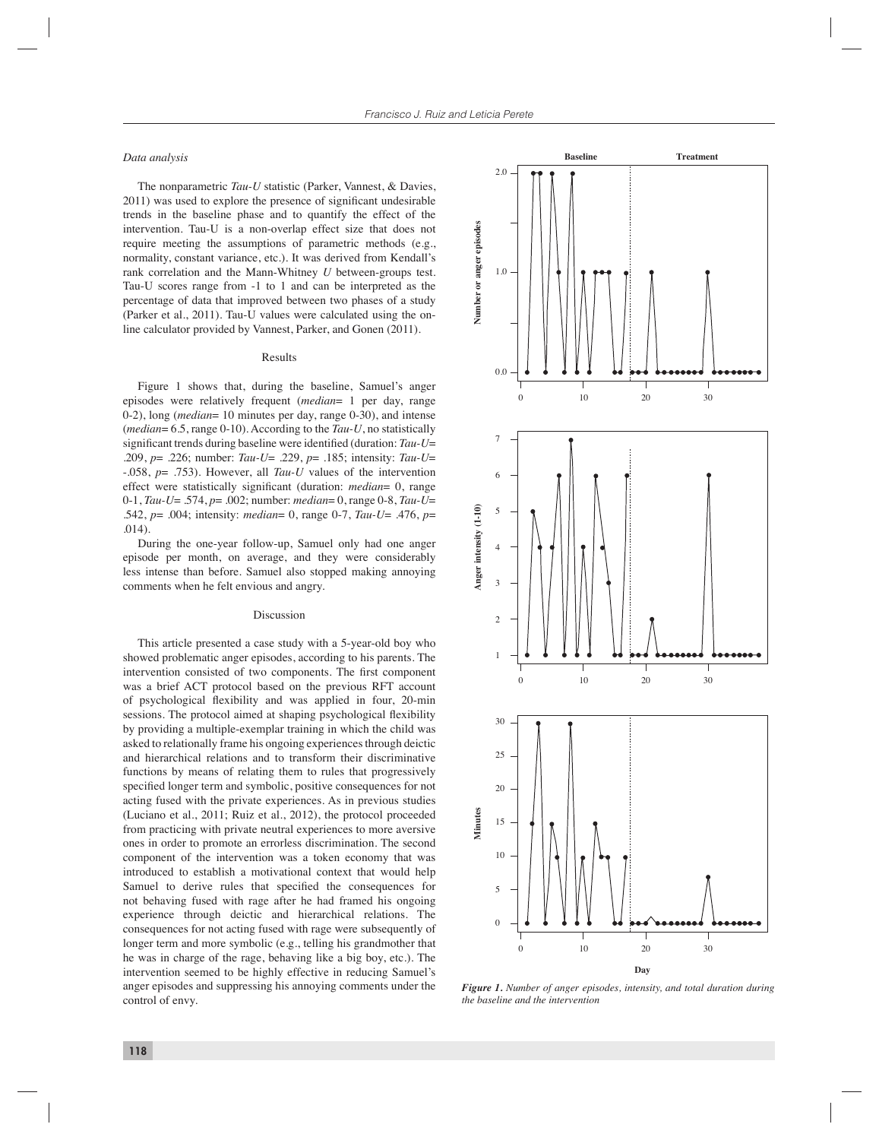# *Data analysis*

The nonparametric *Tau-U* statistic (Parker, Vannest, & Davies, 2011) was used to explore the presence of significant undesirable trends in the baseline phase and to quantify the effect of the intervention. Tau-U is a non-overlap effect size that does not require meeting the assumptions of parametric methods (e.g., normality, constant variance, etc.). It was derived from Kendall's rank correlation and the Mann-Whitney *U* between-groups test. Tau-U scores range from -1 to 1 and can be interpreted as the percentage of data that improved between two phases of a study (Parker et al., 2011). Tau-U values were calculated using the online calculator provided by Vannest, Parker, and Gonen (2011).

# Results

Figure 1 shows that, during the baseline, Samuel's anger episodes were relatively frequent (*median*= 1 per day, range 0-2), long (*median*= 10 minutes per day, range 0-30), and intense (*median*= 6.5, range 0-10). According to the *Tau-U*, no statistically significant trends during baseline were identified (duration: *Tau-U*= .209, *p*= .226; number: *Tau-U*= .229, *p*= .185; intensity: *Tau-U*= -.058, *p*= .753). However, all *Tau-U* values of the intervention effect were statistically significant (duration: *median*= 0, range 0-1, *Tau-U*= .574, *p*= .002; number: *median*= 0, range 0-8, *Tau-U*= .542, *p*= .004; intensity: *median*= 0, range 0-7, *Tau-U*= .476, *p*= .014).

During the one-year follow-up, Samuel only had one anger episode per month, on average, and they were considerably less intense than before. Samuel also stopped making annoying comments when he felt envious and angry.

#### Discussion

This article presented a case study with a 5-year-old boy who showed problematic anger episodes, according to his parents. The intervention consisted of two components. The first component was a brief ACT protocol based on the previous RFT account of psychological flexibility and was applied in four, 20-min sessions. The protocol aimed at shaping psychological flexibility by providing a multiple-exemplar training in which the child was asked to relationally frame his ongoing experiences through deictic and hierarchical relations and to transform their discriminative functions by means of relating them to rules that progressively specified longer term and symbolic, positive consequences for not acting fused with the private experiences. As in previous studies (Luciano et al., 2011; Ruiz et al., 2012), the protocol proceeded from practicing with private neutral experiences to more aversive ones in order to promote an errorless discrimination. The second component of the intervention was a token economy that was introduced to establish a motivational context that would help Samuel to derive rules that specified the consequences for not behaving fused with rage after he had framed his ongoing experience through deictic and hierarchical relations. The consequences for not acting fused with rage were subsequently of longer term and more symbolic (e.g., telling his grandmother that he was in charge of the rage, behaving like a big boy, etc.). The intervention seemed to be highly effective in reducing Samuel's anger episodes and suppressing his annoying comments under the control of envy.



*Figure 1. Number of anger episodes, intensity, and total duration during the baseline and the intervention*